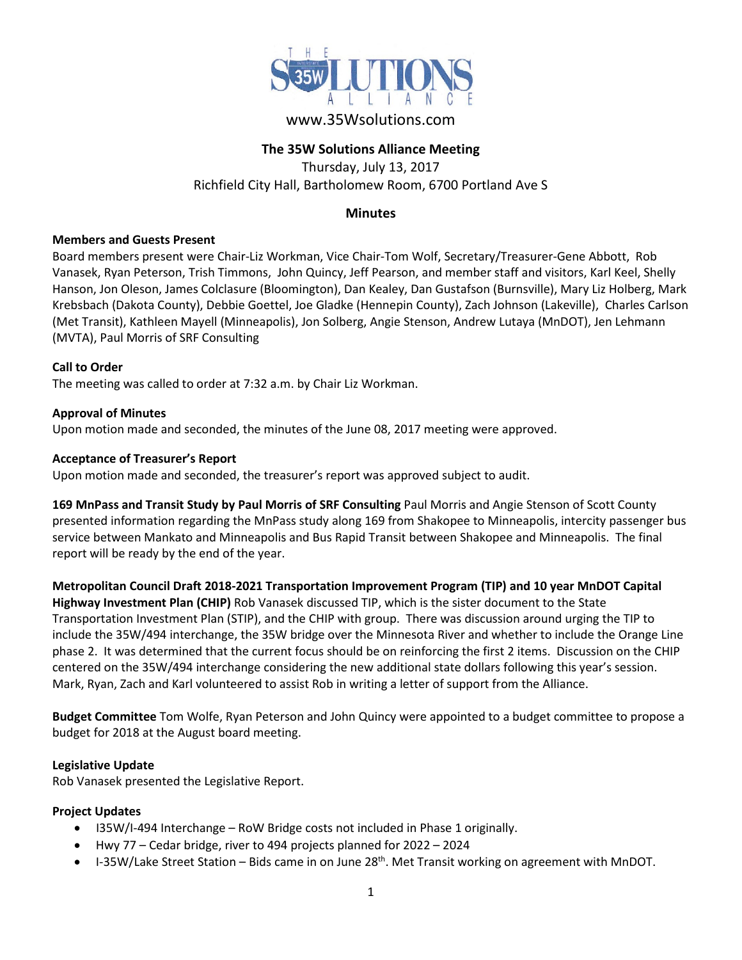

# www.35Wsolutions.com

# **The 35W Solutions Alliance Meeting**

Thursday, July 13, 2017 Richfield City Hall, Bartholomew Room, 6700 Portland Ave S

# **Minutes**

#### **Members and Guests Present**

Board members present were Chair-Liz Workman, Vice Chair-Tom Wolf, Secretary/Treasurer-Gene Abbott, Rob Vanasek, Ryan Peterson, Trish Timmons, John Quincy, Jeff Pearson, and member staff and visitors, Karl Keel, Shelly Hanson, Jon Oleson, James Colclasure (Bloomington), Dan Kealey, Dan Gustafson (Burnsville), Mary Liz Holberg, Mark Krebsbach (Dakota County), Debbie Goettel, Joe Gladke (Hennepin County), Zach Johnson (Lakeville), Charles Carlson (Met Transit), Kathleen Mayell (Minneapolis), Jon Solberg, Angie Stenson, Andrew Lutaya (MnDOT), Jen Lehmann (MVTA), Paul Morris of SRF Consulting

# **Call to Order**

The meeting was called to order at 7:32 a.m. by Chair Liz Workman.

# **Approval of Minutes**

Upon motion made and seconded, the minutes of the June 08, 2017 meeting were approved.

#### **Acceptance of Treasurer's Report**

Upon motion made and seconded, the treasurer's report was approved subject to audit.

**169 MnPass and Transit Study by Paul Morris of SRF Consulting** Paul Morris and Angie Stenson of Scott County presented information regarding the MnPass study along 169 from Shakopee to Minneapolis, intercity passenger bus service between Mankato and Minneapolis and Bus Rapid Transit between Shakopee and Minneapolis. The final report will be ready by the end of the year.

**Metropolitan Council Draft 2018-2021 Transportation Improvement Program (TIP) and 10 year MnDOT Capital Highway Investment Plan (CHIP)** Rob Vanasek discussed TIP, which is the sister document to the State Transportation Investment Plan (STIP), and the CHIP with group. There was discussion around urging the TIP to include the 35W/494 interchange, the 35W bridge over the Minnesota River and whether to include the Orange Line phase 2. It was determined that the current focus should be on reinforcing the first 2 items. Discussion on the CHIP centered on the 35W/494 interchange considering the new additional state dollars following this year's session. Mark, Ryan, Zach and Karl volunteered to assist Rob in writing a letter of support from the Alliance.

**Budget Committee** Tom Wolfe, Ryan Peterson and John Quincy were appointed to a budget committee to propose a budget for 2018 at the August board meeting.

#### **Legislative Update**

Rob Vanasek presented the Legislative Report.

# **Project Updates**

- I35W/I-494 Interchange RoW Bridge costs not included in Phase 1 originally.
- Hwy 77 Cedar bridge, river to 494 projects planned for 2022 2024
- I-35W/Lake Street Station Bids came in on June 28<sup>th</sup>. Met Transit working on agreement with MnDOT.